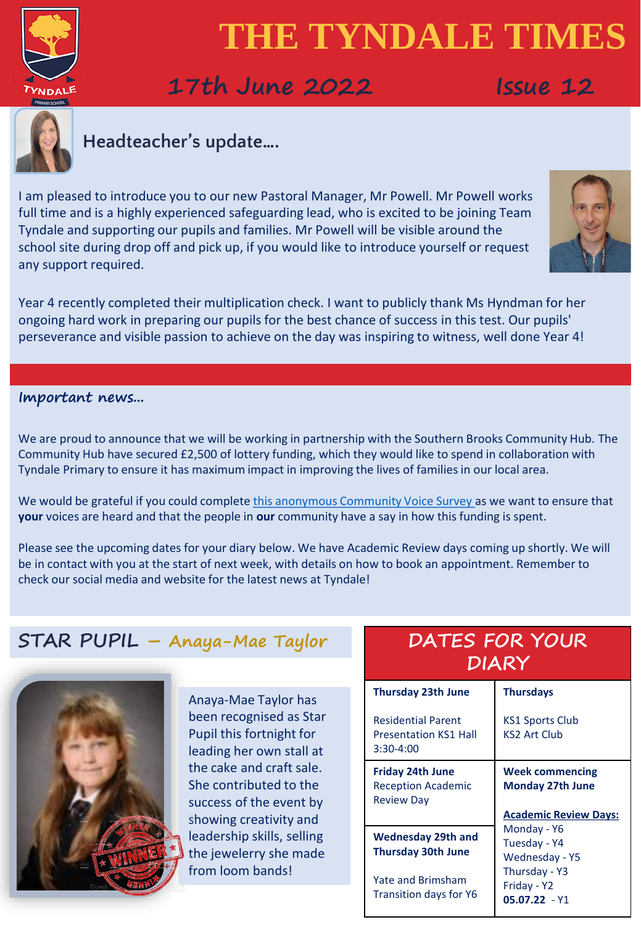

# **17th June 2022 Issue 12**



# **Headteacher's update….**

I am pleased to introduce you to our new Pastoral Manager, Mr Powell. Mr Powell works full time and is a highly experienced safeguarding lead, who is excited to be joining Team Tyndale and supporting our pupils and families. Mr Powell will be visible around the school site during drop off and pick up, if you would like to introduce yourself or request any support required.



Year 4 recently completed their multiplication check. I want to publicly thank Ms Hyndman for her ongoing hard work in preparing our pupils for the best chance of success in this test. Our pupils' perseverance and visible passion to achieve on the day was inspiring to witness, well done Year 4!

**Important news...**

We are proud to announce that we will be working in partnership with the Southern Brooks Community Hub. The Community Hub have secured £2,500 of lottery funding, which they would like to spend in collaboration with Tyndale Primary to ensure it has maximum impact in improving the lives of families in our local area.

We would be grateful if you could complete [this anonymous Community Voice Survey a](https://docs.google.com/forms/d/e/1FAIpQLSc9PYHEhPRxljce9MDNs1p_bQcqhp32K6eeX9qoKpTANUeHSw/viewform)s we want to ensure that **your** voices are heard and that the people in **our** community have a say in how this funding is spent.

Please see the upcoming dates for your diary below. We have Academic Review days coming up shortly. We will be in contact with you at the start of next week, with details on how to book an appointment. Remember to check our social media and website for the latest news at Tyndale!

# **STAR PUPIL – Anaya-Mae Taylor**



Anaya-Mae Taylor has been recognised as Star Pupil this fortnight for leading her own stall at the cake and craft sale. She contributed to the success of the event by showing creativity and leadership skills, selling the jewelerry she made from loom bands!

# **DATES FOR YOUR DIARY**

| <b>Thursday 23th June</b>                                                 | <b>Thursdays</b>                                                                  |  |  |
|---------------------------------------------------------------------------|-----------------------------------------------------------------------------------|--|--|
| <b>Residential Parent</b><br><b>Presentation KS1 Hall</b><br>$3:30-4:00$  | <b>KS1 Sports Club</b><br>KS2 Art Club                                            |  |  |
| <b>Friday 24th June</b><br><b>Reception Academic</b><br><b>Review Day</b> | <b>Week commencing</b><br><b>Monday 27th June</b><br><b>Academic Review Days:</b> |  |  |
|                                                                           | Monday - Y6<br>Tuesday - Y4<br>Wednesday - Y5                                     |  |  |
| <b>Wednesday 29th and</b>                                                 |                                                                                   |  |  |
| <b>Thursday 30th June</b>                                                 |                                                                                   |  |  |
| Yate and Brimsham<br>Transition days for Y6                               | Thursday - Y3<br>Friday - Y2<br>$05.07.22 - Y1$                                   |  |  |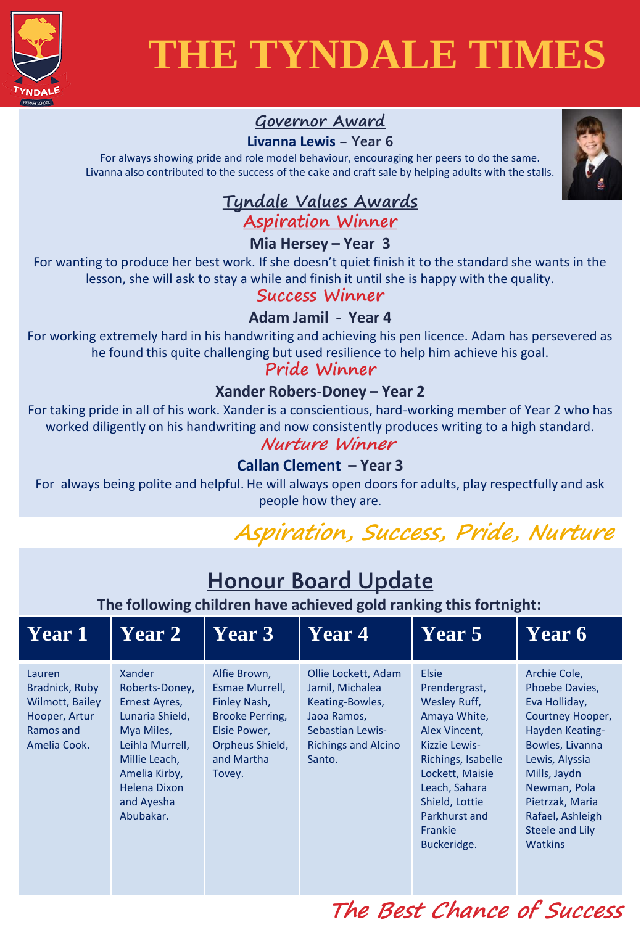

## **Governor Award**

#### **Livanna Lewis – Year 6**

For always showing pride and role model behaviour, encouraging her peers to do the same. Livanna also contributed to the success of the cake and craft sale by helping adults with the stalls.



#### **Tyndale Values Awards Aspiration Winner**

#### **Mia Hersey – Year 3**

For wanting to produce her best work. If she doesn't quiet finish it to the standard she wants in the lesson, she will ask to stay a while and finish it until she is happy with the quality.

#### **Success Winner**

#### **Adam Jamil - Year 4**

For working extremely hard in his handwriting and achieving his pen licence. Adam has persevered as he found this quite challenging but used resilience to help him achieve his goal.

#### **Pride Winner**

#### **Xander Robers-Doney – Year 2**

For taking pride in all of his work. Xander is a conscientious, hard-working member of Year 2 who has worked diligently on his handwriting and now consistently produces writing to a high standard.

#### **Nurture Winner**

#### **Callan Clement – Year 3**

For always being polite and helpful. He will always open doors for adults, play respectfully and ask people how they are.

# **Aspiration, Success, Pride, Nurture**

| <b>Honour Board Update</b><br>The following children have achieved gold ranking this fortnight: |                                                                                                                                                                                   |                                                                                                                              |                                                                                                                                      |                                                                                                                                                                                                                        |                                                                                                                                                                                                                                         |  |
|-------------------------------------------------------------------------------------------------|-----------------------------------------------------------------------------------------------------------------------------------------------------------------------------------|------------------------------------------------------------------------------------------------------------------------------|--------------------------------------------------------------------------------------------------------------------------------------|------------------------------------------------------------------------------------------------------------------------------------------------------------------------------------------------------------------------|-----------------------------------------------------------------------------------------------------------------------------------------------------------------------------------------------------------------------------------------|--|
| <b>Year 1</b>                                                                                   | <b>Year 2</b>                                                                                                                                                                     | <b>Year 3</b>                                                                                                                | <b>Year 4</b>                                                                                                                        | Year 5                                                                                                                                                                                                                 | Year 6                                                                                                                                                                                                                                  |  |
| Lauren<br>Bradnick, Ruby<br>Wilmott, Bailey<br>Hooper, Artur<br>Ramos and<br>Amelia Cook.       | <b>Xander</b><br>Roberts-Doney,<br>Ernest Ayres,<br>Lunaria Shield,<br>Mya Miles,<br>Leihla Murrell,<br>Millie Leach,<br>Amelia Kirby,<br>Helena Dixon<br>and Ayesha<br>Abubakar. | Alfie Brown,<br>Esmae Murrell,<br>Finley Nash,<br>Brooke Perring,<br>Elsie Power,<br>Orpheus Shield,<br>and Martha<br>Tovey. | Ollie Lockett, Adam<br>Jamil, Michalea<br>Keating-Bowles,<br>Jaoa Ramos,<br>Sebastian Lewis-<br><b>Richings and Alcino</b><br>Santo. | <b>Elsie</b><br>Prendergrast,<br>Wesley Ruff,<br>Amaya White,<br>Alex Vincent,<br>Kizzie Lewis-<br>Richings, Isabelle<br>Lockett, Maisie<br>Leach, Sahara<br>Shield, Lottie<br>Parkhurst and<br>Frankie<br>Buckeridge. | Archie Cole,<br>Phoebe Davies,<br>Eva Holliday,<br>Courtney Hooper,<br>Hayden Keating-<br>Bowles, Livanna<br>Lewis, Alyssia<br>Mills, Jaydn<br>Newman, Pola<br>Pietrzak, Maria<br>Rafael, Ashleigh<br>Steele and Lily<br><b>Watkins</b> |  |

# **The Best Chance of Success**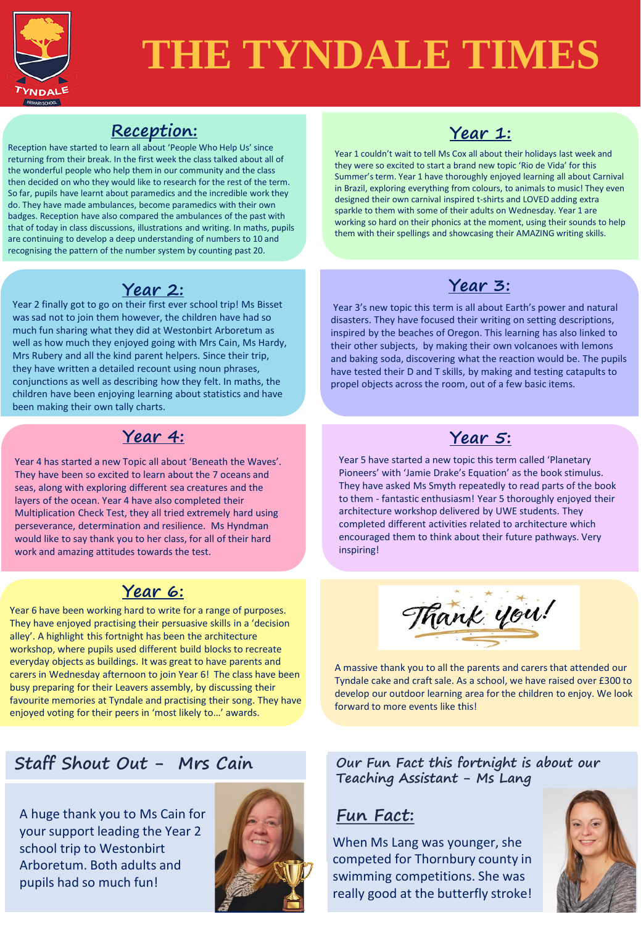

## **Reception:**

are continuing to develop a deep understanding of numbers to 10 and Reception have started to learn all about 'People Who Help Us' since returning from their break. In the first week the class talked about all of the wonderful people who help them in our community and the class then decided on who they would like to research for the rest of the term. So far, pupils have learnt about paramedics and the incredible work they do. They have made ambulances, become paramedics with their own badges. Reception have also compared the ambulances of the past with that of today in class discussions, illustrations and writing. In maths, pupils recognising the pattern of the number system by counting past 20.

Year 2 finally got to go on their first ever school trip! Ms Bisset was sad not to join them however, the children have had so much fun sharing what they did at Westonbirt Arboretum as well as how much they enjoyed going with Mrs Cain, Ms Hardy, Mrs Rubery and all the kind parent helpers. Since their trip, they have written a detailed recount using noun phrases, conjunctions as well as describing how they felt. In maths, the children have been enjoying learning about statistics and have been making their own tally charts.

### **Year 4: Year 5:**

Year 4 has started a new Topic all about 'Beneath the Waves'. They have been so excited to learn about the 7 oceans and seas, along with exploring different sea creatures and the layers of the ocean. Year 4 have also completed their Multiplication Check Test, they all tried extremely hard using perseverance, determination and resilience. Ms Hyndman would like to say thank you to her class, for all of their hard work and amazing attitudes towards the test.

## **Year 6:**

Year 6 have been working hard to write for a range of purposes. They have enjoyed practising their persuasive skills in a 'decision alley'. A highlight this fortnight has been the architecture workshop, where pupils used different build blocks to recreate everyday objects as buildings. It was great to have parents and carers in Wednesday afternoon to join Year 6! The class have been busy preparing for their Leavers assembly, by discussing their favourite memories at Tyndale and practising their song. They have enjoyed voting for their peers in 'most likely to…' awards.

# **Staff Shout Out - Mrs Cain**

A huge thank you to Ms Cain for your support leading the Year 2 school trip to Westonbirt Arboretum. Both adults and pupils had so much fun!





Year 1 couldn't wait to tell Ms Cox all about their holidays last week and they were so excited to start a brand new topic 'Rio de Vida' for this Summer's term. Year 1 have thoroughly enjoyed learning all about Carnival in Brazil, exploring everything from colours, to animals to music! They even designed their own carnival inspired t-shirts and LOVED adding extra sparkle to them with some of their adults on Wednesday. Year 1 are working so hard on their phonics at the moment, using their sounds to help them with their spellings and showcasing their AMAZING writing skills.

# **Year 2: Year 3:**

Year 3's new topic this term is all about Earth's power and natural disasters. They have focused their writing on setting descriptions, inspired by the beaches of Oregon. This learning has also linked to their other subjects, by making their own volcanoes with lemons and baking soda, discovering what the reaction would be. The pupils have tested their D and T skills, by making and testing catapults to propel objects across the room, out of a few basic items.

Year 5 have started a new topic this term called 'Planetary Pioneers' with 'Jamie Drake's Equation' as the book stimulus. They have asked Ms Smyth repeatedly to read parts of the book to them - fantastic enthusiasm! Year 5 thoroughly enjoyed their architecture workshop delivered by UWE students. They completed different activities related to architecture which encouraged them to think about their future pathways. Very inspiring!



A massive thank you to all the parents and carers that attended our Tyndale cake and craft sale. As a school, we have raised over £300 to develop our outdoor learning area for the children to enjoy. We look forward to more events like this!

Our Fun Fact this fortnight is about our  $\blacksquare$ **Teaching Assistant - Mrs Matthews Teaching Assistant - Ms Lang**

### **Fun Fact: Fun Fact:**

x competed for Thornbury county in When Ms Lang was younger, she swimming competitions. She was really good at the butterfly stroke!